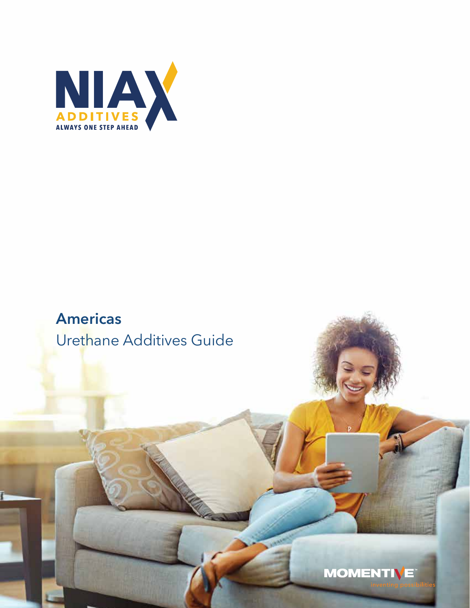

## **Americas** Urethane Additives Guide

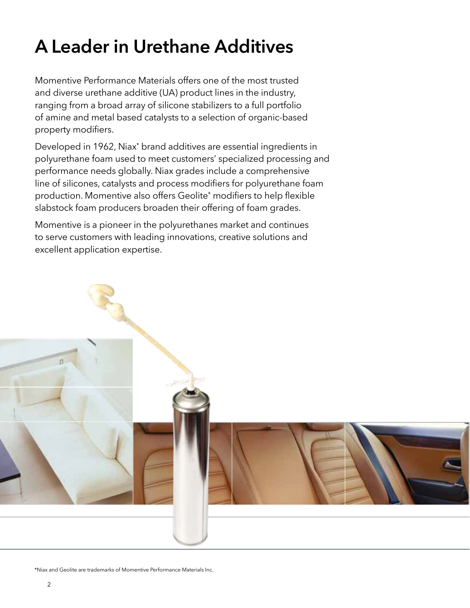# **A Leader in Urethane Additives**

Momentive Performance Materials offers one of the most trusted and diverse urethane additive (UA) product lines in the industry, ranging from a broad array of silicone stabilizers to a full portfolio of amine and metal based catalysts to a selection of organic-based property modifiers.

Developed in 1962, Niax\* brand additives are essential ingredients in polyurethane foam used to meet customers' specialized processing and performance needs globally. Niax grades include a comprehensive line of silicones, catalysts and process modifiers for polyurethane foam production. Momentive also offers Geolite\* modifiers to help flexible slabstock foam producers broaden their offering of foam grades.

Momentive is a pioneer in the polyurethanes market and continues to serve customers with leading innovations, creative solutions and excellent application expertise.



\*Niax and Geolite are trademarks of Momentive Performance Materials Inc.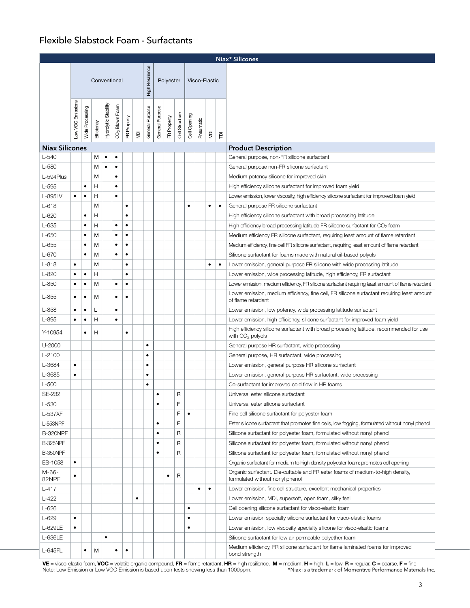### Flexible Slabstock Foam - Surfactants

|                       |                                                               |                 |            |                      |                            |             |                |                 |                 |             |                |              |           |                    |           | Niax* Silicones                                                                                                   |  |  |  |  |  |  |  |
|-----------------------|---------------------------------------------------------------|-----------------|------------|----------------------|----------------------------|-------------|----------------|-----------------|-----------------|-------------|----------------|--------------|-----------|--------------------|-----------|-------------------------------------------------------------------------------------------------------------------|--|--|--|--|--|--|--|
|                       | High Resilience<br>Conventional<br>Polyester<br>Visco-Elastic |                 |            |                      |                            |             |                |                 |                 |             |                |              |           |                    |           |                                                                                                                   |  |  |  |  |  |  |  |
|                       |                                                               |                 |            |                      |                            |             |                |                 |                 |             |                |              |           |                    |           |                                                                                                                   |  |  |  |  |  |  |  |
|                       |                                                               |                 |            |                      |                            |             |                |                 |                 |             |                |              |           |                    |           |                                                                                                                   |  |  |  |  |  |  |  |
|                       |                                                               |                 |            |                      |                            |             |                |                 |                 |             |                |              |           |                    |           |                                                                                                                   |  |  |  |  |  |  |  |
|                       |                                                               |                 |            |                      |                            |             |                |                 |                 |             |                |              |           |                    |           |                                                                                                                   |  |  |  |  |  |  |  |
|                       |                                                               |                 |            |                      |                            |             |                |                 |                 |             |                |              |           |                    |           |                                                                                                                   |  |  |  |  |  |  |  |
|                       | Low VOC Emissions                                             | Wide Processing | Efficiency | Hydrolytic Stability | CO <sub>2</sub> Blown Foam | FR Property | $\overline{R}$ | General Purpose | General Purpose | FR Property | Cell Structure | Cell Opening | Pneumatic | $\bar{\mathsf{R}}$ | 즡         |                                                                                                                   |  |  |  |  |  |  |  |
| <b>Niax Silicones</b> |                                                               |                 |            |                      |                            |             |                |                 |                 |             |                |              |           |                    |           | <b>Product Description</b>                                                                                        |  |  |  |  |  |  |  |
| $L-540$               |                                                               |                 | М          | $\bullet$            | ٠                          |             |                |                 |                 |             |                |              |           |                    |           | General purpose, non-FR silicone surfactant                                                                       |  |  |  |  |  |  |  |
| $L-580$               |                                                               |                 | M          | $\bullet$            | $\bullet$                  |             |                |                 |                 |             |                |              |           |                    |           | General purpose non-FR silicone surfactant                                                                        |  |  |  |  |  |  |  |
| L-594Plus             |                                                               |                 | M          |                      | ٠                          |             |                |                 |                 |             |                |              |           |                    |           | Medium potency silicone for improved skin                                                                         |  |  |  |  |  |  |  |
| $L-595$               |                                                               | $\bullet$       | н          |                      | $\bullet$                  |             |                |                 |                 |             |                |              |           |                    |           | High efficiency silicone surfactant for improved foam yield                                                       |  |  |  |  |  |  |  |
| L-895LV               | ٠                                                             | $\bullet$       | н          |                      | ٠                          |             |                |                 |                 |             |                |              |           |                    |           | Lower emission, lower viscosity, high efficiency silicone surfactant for improved foam yield                      |  |  |  |  |  |  |  |
| $L-618$               |                                                               |                 | M          |                      |                            | $\bullet$   |                |                 |                 |             |                | $\bullet$    |           | $\bullet$          | $\bullet$ | General purpose FR silicone surfactant                                                                            |  |  |  |  |  |  |  |
| $L-620$               |                                                               | $\bullet$       | н          |                      |                            | ٠           |                |                 |                 |             |                |              |           |                    |           | High efficiency silicone surfactant with broad processing latitude                                                |  |  |  |  |  |  |  |
| L-635                 |                                                               | $\bullet$       | н          |                      | $\bullet$                  | $\bullet$   |                |                 |                 |             |                |              |           |                    |           | High efficiency broad processing latitude FR silicone surfactant for $CO2$ foam                                   |  |  |  |  |  |  |  |
| $L-650$               |                                                               | $\bullet$       | M          |                      | ٠                          | ٠           |                |                 |                 |             |                |              |           |                    |           | Medium efficiency FR silicone surfactant, requiring least amount of flame retardant                               |  |  |  |  |  |  |  |
| $L-655$               |                                                               | $\bullet$       | M          |                      | $\bullet$                  | $\bullet$   |                |                 |                 |             |                |              |           |                    |           | Medium efficiency, fine cell FR silicone surfactant, requiring least amount of flame retardant                    |  |  |  |  |  |  |  |
| L-670                 |                                                               | $\bullet$       | M          |                      | ٠                          | ٠           |                |                 |                 |             |                |              |           |                    |           | Silicone surfactant for foams made with natural oil-based polyols                                                 |  |  |  |  |  |  |  |
| $L-818$               | $\bullet$                                                     |                 | M          |                      |                            | $\bullet$   |                |                 |                 |             |                |              |           | $\bullet$          | $\bullet$ | Lower emission, general purpose FR silicone with wide processing latitude                                         |  |  |  |  |  |  |  |
| $L-820$               | ٠                                                             | $\bullet$       | н          |                      |                            | $\bullet$   |                |                 |                 |             |                |              |           |                    |           | Lower emission, wide processing latitude, high efficiency, FR surfactant                                          |  |  |  |  |  |  |  |
| L-850                 | $\bullet$                                                     | $\bullet$       | M          |                      | $\bullet$                  | $\bullet$   |                |                 |                 |             |                |              |           |                    |           | Lower emission, medium efficiency, FR silicone surfactant requiring least amount of flame retardant               |  |  |  |  |  |  |  |
|                       | ٠                                                             | $\bullet$       |            |                      | $\bullet$                  | $\bullet$   |                |                 |                 |             |                |              |           |                    |           | Lower emission, medium efficiency, fine cell, FR silicone surfactant requiring least amount                       |  |  |  |  |  |  |  |
| L-855                 |                                                               |                 | M          |                      |                            |             |                |                 |                 |             |                |              |           |                    |           | of flame retardant                                                                                                |  |  |  |  |  |  |  |
| L-858                 | ٠                                                             | ٠               | L          |                      | $\bullet$                  |             |                |                 |                 |             |                |              |           |                    |           | Lower emission, low potency, wide processing latitude surfactant                                                  |  |  |  |  |  |  |  |
| L-895                 | $\bullet$                                                     | $\bullet$       | H          |                      | $\bullet$                  |             |                |                 |                 |             |                |              |           |                    |           | Lower emission, high efficiency, silicone surfactant for improved foam yield                                      |  |  |  |  |  |  |  |
| Y-10954               |                                                               | $\bullet$       | н          |                      |                            | $\bullet$   |                |                 |                 |             |                |              |           |                    |           | High efficiency silicone surfactant with broad processing latitude, recommended for use<br>with $CO2$ polyols     |  |  |  |  |  |  |  |
| U-2000                |                                                               |                 |            |                      |                            |             |                | $\bullet$       |                 |             |                |              |           |                    |           | General purpose HR surfactant, wide processing                                                                    |  |  |  |  |  |  |  |
| L-2100                |                                                               |                 |            |                      |                            |             |                | $\bullet$       |                 |             |                |              |           |                    |           | General purpose, HR surfactant, wide processing                                                                   |  |  |  |  |  |  |  |
| L-3684                | $\bullet$                                                     |                 |            |                      |                            |             |                | $\bullet$       |                 |             |                |              |           |                    |           | Lower emission, general purpose HR silicone surfactant                                                            |  |  |  |  |  |  |  |
| L-3685                | $\bullet$                                                     |                 |            |                      |                            |             |                | $\bullet$       |                 |             |                |              |           |                    |           | Lower emission, general purpose HR surfactant. wide processing                                                    |  |  |  |  |  |  |  |
| $L-500$               |                                                               |                 |            |                      |                            |             |                | $\bullet$       |                 |             |                |              |           |                    |           | Co-surfactant for improved cold flow in HR foams                                                                  |  |  |  |  |  |  |  |
| SE-232                |                                                               |                 |            |                      |                            |             |                |                 | $\bullet$       |             | R              |              |           |                    |           | Universal ester silicone surfactant                                                                               |  |  |  |  |  |  |  |
| L-530                 |                                                               |                 |            |                      |                            |             |                |                 | $\bullet$       |             | F              |              |           |                    |           | Universal ester silicone surfactant                                                                               |  |  |  |  |  |  |  |
| L-537XF               |                                                               |                 |            |                      |                            |             |                |                 |                 |             | F              | $\bullet$    |           |                    |           | Fine cell silicone surfactant for polyester foam                                                                  |  |  |  |  |  |  |  |
| L-553NPF              |                                                               |                 |            |                      |                            |             |                |                 | $\bullet$       |             | F              |              |           |                    |           | Ester silicone surfactant that promotes fine cells, low fogging, formulated without nonyl phenol                  |  |  |  |  |  |  |  |
| B-320NPF              |                                                               |                 |            |                      |                            |             |                |                 | $\bullet$       |             | R              |              |           |                    |           | Silicone surfactant for polyester foam, formulated without nonyl phenol                                           |  |  |  |  |  |  |  |
| <b>B-325NPF</b>       |                                                               |                 |            |                      |                            |             |                |                 | $\bullet$       |             | $\mathsf R$    |              |           |                    |           | Silicone surfactant for polyester foam, formulated without nonyl phenol                                           |  |  |  |  |  |  |  |
| <b>B-350NPF</b>       |                                                               |                 |            |                      |                            |             |                |                 | $\bullet$       |             | $\mathsf R$    |              |           |                    |           | Silicone surfactant for polyester foam, formulated without nonyl phenol                                           |  |  |  |  |  |  |  |
| ES-1058               | $\bullet$                                                     |                 |            |                      |                            |             |                |                 |                 |             |                |              |           |                    |           | Organic surfactant for medium to high density polyester foam; promotes cell opening                               |  |  |  |  |  |  |  |
| M-66-<br>82NPF        | $\bullet$                                                     |                 |            |                      |                            |             |                |                 |                 | $\bullet$   | R              |              |           |                    |           | Organic surfactant. Die-cuttable and FR ester foams of medium-to-high density,<br>formulated without nonyl phenol |  |  |  |  |  |  |  |
| $L-417$               |                                                               |                 |            |                      |                            |             |                |                 |                 |             |                |              | $\bullet$ | $\bullet$          |           | Lower emission, fine cell structure, excellent mechanical properties                                              |  |  |  |  |  |  |  |
| $L-422$               |                                                               |                 |            |                      |                            |             | $\bullet$      |                 |                 |             |                |              |           |                    |           | Lower emission, MDI, supersoft, open foam, silky feel                                                             |  |  |  |  |  |  |  |
| $L-626$               |                                                               |                 |            |                      |                            |             |                |                 |                 |             |                | $\bullet$    |           |                    |           | Cell opening silicone surfactant for visco-elastic foam                                                           |  |  |  |  |  |  |  |
| $L-629$               | $\bullet$                                                     |                 |            |                      |                            |             |                |                 |                 |             |                | $\bullet$    |           |                    |           | Lower emission specialty silicone surfactant for visco-elastic foams                                              |  |  |  |  |  |  |  |
| L-629LE               | $\bullet$                                                     |                 |            |                      |                            |             |                |                 |                 |             |                | $\bullet$    |           |                    |           | Lower emission, low viscosity specialty silicone for visco-elastic foams                                          |  |  |  |  |  |  |  |
| L-636LE               |                                                               |                 |            | $\bullet$            |                            |             |                |                 |                 |             |                |              |           |                    |           | Silicone surfactant for low air permeable polyether foam                                                          |  |  |  |  |  |  |  |
| L-645FL               |                                                               | $\bullet$       | м          |                      | ٠                          | $\bullet$   |                |                 |                 |             |                |              |           |                    |           | Medium efficiency, FR silicone surfactant for flame laminated foams for improved                                  |  |  |  |  |  |  |  |
|                       |                                                               |                 |            |                      |                            |             |                |                 |                 |             |                |              |           |                    |           | bond strength                                                                                                     |  |  |  |  |  |  |  |

\*Niax is a trademark of Momentive Performance Materials Inc. **VE** = visco-elastic foam, **VOC** = volatile organic compound, **FR** = flame retardant, **HR** = high resilience, **M** = medium, **H** = high, **L** = low, **R** = regular, **C** = coarse, **F** = fine<br>Note: Low Emission or Low VOC Emis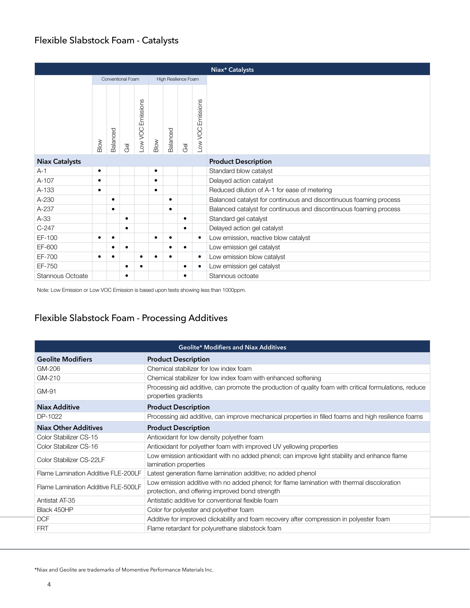### Flexible Slabstock Foam - Catalysts

|                       |           |           |                   |                             |           |          |                      |                      | Niax* Catalysts                                                    |
|-----------------------|-----------|-----------|-------------------|-----------------------------|-----------|----------|----------------------|----------------------|--------------------------------------------------------------------|
|                       |           |           | Conventional Foam |                             |           |          | High Resilience Foam |                      |                                                                    |
|                       | Blow      | Balanced  | ලි                | Emissions<br><b>OOV WOC</b> | Blow      | Balanced | ලි                   | Emissions<br>Low VOC |                                                                    |
| <b>Niax Catalysts</b> |           |           |                   |                             |           |          |                      |                      | <b>Product Description</b>                                         |
| $A-1$                 | $\bullet$ |           |                   |                             | ٠         |          |                      |                      | Standard blow catalyst                                             |
| A-107                 | $\bullet$ |           |                   |                             | $\bullet$ |          |                      |                      | Delayed action catalyst                                            |
| A-133                 | ٠         |           |                   |                             | $\bullet$ |          |                      |                      | Reduced dilution of A-1 for ease of metering                       |
| A-230                 |           | ٠         |                   |                             |           |          |                      |                      | Balanced catalyst for continuous and discontinuous foaming process |
| A-237                 |           | $\bullet$ |                   |                             |           |          |                      |                      | Balanced catalyst for continuous and discontinuous foaming process |
| $A-33$                |           |           | $\bullet$         |                             |           |          | $\bullet$            |                      | Standard gel catalyst                                              |
| $C-247$               |           |           | $\bullet$         |                             |           |          | $\bullet$            |                      | Delayed action gel catalyst                                        |
| EF-100                | ٠         | ٠         |                   |                             | ٠         |          |                      | ٠                    | Low emission, reactive blow catalyst                               |
| EF-600                |           |           | $\bullet$         |                             |           |          | $\bullet$            |                      | Low emission gel catalyst                                          |
| EF-700                | ٠         |           |                   | ٠                           |           |          |                      | $\bullet$            | Low emission blow catalyst                                         |
| EF-750                |           |           | ٠                 | $\bullet$                   |           |          | $\bullet$            | $\bullet$            | Low emission gel catalyst                                          |
| Stannous Octoate      |           |           | ٠                 |                             |           |          | ٠                    |                      | Stannous octoate                                                   |

Note: Low Emission or Low VOC Emission is based upon tests showing less than 1000ppm.

### Flexible Slabstock Foam - Processing Additives

|                                     | <b>Geolite* Modifiers and Niax Additives</b>                                                                                                   |
|-------------------------------------|------------------------------------------------------------------------------------------------------------------------------------------------|
| <b>Geolite Modifiers</b>            | <b>Product Description</b>                                                                                                                     |
| GM-206                              | Chemical stabilizer for low index foam                                                                                                         |
| GM-210                              | Chemical stabilizer for low index foam with enhanced softening                                                                                 |
| GM-91                               | Processing aid additive, can promote the production of quality foam with critical formulations, reduce<br>properties gradients                 |
| Niax Additive                       | <b>Product Description</b>                                                                                                                     |
| DP-1022                             | Processing aid additive, can improve mechanical properties in filled foams and high resilience foams                                           |
| <b>Niax Other Additives</b>         | <b>Product Description</b>                                                                                                                     |
| Color Stabilizer CS-15              | Antioxidant for low density polyether foam                                                                                                     |
| Color Stabilizer CS-16              | Antioxidant for polyether foam with improved UV yellowing properties                                                                           |
| Color Stabilizer CS-22LF            | Low emission antioxidant with no added phenol; can improve light stability and enhance flame<br>lamination properties                          |
| Flame Lamination Additive FLE-200LF | Latest generation flame lamination additive; no added phenol                                                                                   |
| Flame Lamination Additive FLE-500LF | Low emission additive with no added phenol; for flame lamination with thermal discoloration<br>protection, and offering improved bond strength |
| Antistat AT-35                      | Antistatic additive for conventional flexible foam                                                                                             |
| Black 450HP                         | Color for polyester and polyether foam                                                                                                         |
| <b>DCF</b>                          | Additive for improved clickability and foam recovery after compression in polyester foam                                                       |
| <b>FRT</b>                          | Flame retardant for polyurethane slabstock foam                                                                                                |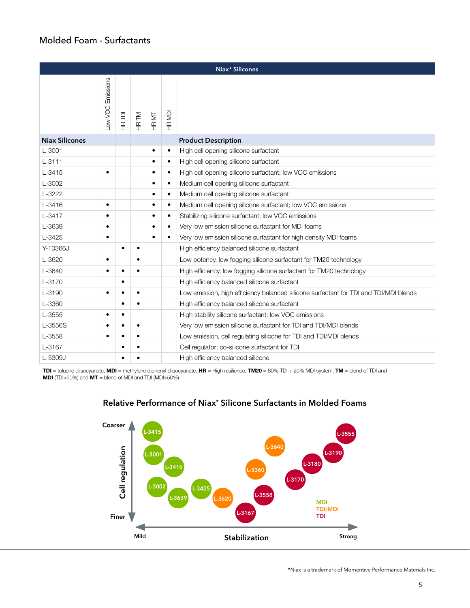#### Molded Foam - Surfactants

|                       |                   |           |           |           |           | Niax* Silicones                                                                       |
|-----------------------|-------------------|-----------|-----------|-----------|-----------|---------------------------------------------------------------------------------------|
|                       | -ow VOC Emissions | HR TDI    | HR TM     | HR MT     | HR MDI    |                                                                                       |
| <b>Niax Silicones</b> |                   |           |           |           |           | <b>Product Description</b>                                                            |
| L-3001                |                   |           |           | $\bullet$ | $\bullet$ | High cell opening silicone surfactant                                                 |
| $L - 3111$            |                   |           |           |           | $\bullet$ | High cell opening silicone surfactant                                                 |
| $L - 3415$            | $\bullet$         |           |           | $\bullet$ | $\bullet$ | High cell opening silicone surfactant; low VOC emissions                              |
| L-3002                |                   |           |           | $\bullet$ | $\bullet$ | Medium cell opening silicone surfactant                                               |
| L-3222                |                   |           |           |           | $\bullet$ | Medium cell opening silicone surfactant                                               |
| $L - 3416$            | ٠                 |           |           |           | $\bullet$ | Medium cell opening silicone surfactant; low VOC emissions                            |
| L-3417                | ٠                 |           |           | $\bullet$ | $\bullet$ | Stabilizing silicone surfactant; low VOC emissions                                    |
| L-3639                | $\bullet$         |           |           |           | $\bullet$ | Very low emission silicone surfactant for MDI foams                                   |
| L-3425                | ٠                 |           |           | $\bullet$ | $\bullet$ | Very low emission silicone surfactant for high density MDI foams                      |
| Y-10366J              |                   | $\bullet$ | $\bullet$ |           |           | High efficiency balanced silicone surfactant                                          |
| L-3620                | ٠                 |           | $\bullet$ |           |           | Low potency, low fogging silicone surfactant for TM20 technology                      |
| L-3640                |                   | $\bullet$ | ٠         |           |           | High efficiency, low fogging silicone surfactant for TM20 technology                  |
| L-3170                |                   | $\bullet$ |           |           |           | High efficiency balanced silicone surfactant                                          |
| L-3190                | $\bullet$         | $\bullet$ | $\bullet$ |           |           | Low emission, high efficiency balanced silicone surfactant for TDI and TDI/MDI blends |
| L-3360                |                   | $\bullet$ | $\bullet$ |           |           | High efficiency balanced silicone surfactant                                          |
| L-3555                | $\bullet$         | $\bullet$ |           |           |           | High stability silicone surfactant; low VOC emissions                                 |
| L-3556S               | $\bullet$         | $\bullet$ | $\bullet$ |           |           | Very low emission silicone surfactant for TDI and TDI/MDI blends                      |
| L-3558                | $\bullet$         |           | $\bullet$ |           |           | Low emission, cell regulating silicone for TDI and TDI/MDI blends                     |
| L-3167                |                   | $\bullet$ | ٠         |           |           | Cell regulator; co-silicone surfactant for TDI                                        |
| L-5309J               |                   | $\bullet$ |           |           |           | High efficiency balanced silicone                                                     |

TDI = toluene diisocyanate, MDI = methylene diphenyl diisocyanate, HR = High resilience, TM20 = 80% TDI + 20% MDI system, TM = blend of TDI and MDI (TDI>50%) and MT = blend of MDI and TDI (MDI>50%)

#### **Relative Performance of Niax\* Silicone Surfactants in Molded Foams**

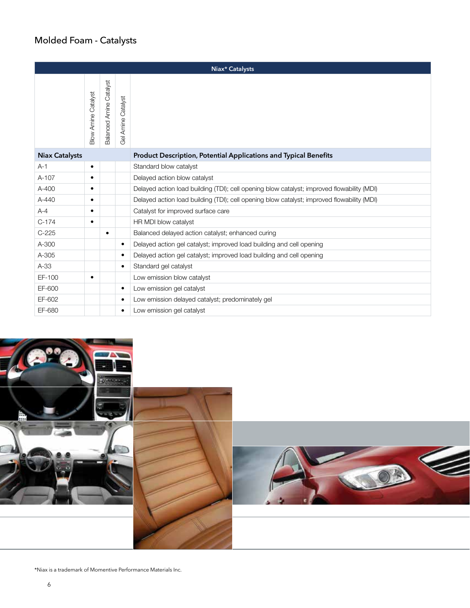### Molded Foam - Catalysts

|                       |                            |                                |                       | Niax* Catalysts                                                                            |
|-----------------------|----------------------------|--------------------------------|-----------------------|--------------------------------------------------------------------------------------------|
|                       | <b>3low Amine Catalyst</b> | <b>Balanced Amine Catalyst</b> | Catalyst<br>Gel Amine |                                                                                            |
| <b>Niax Catalysts</b> |                            |                                |                       | Product Description, Potential Applications and Typical Benefits                           |
| $A-1$                 | $\bullet$                  |                                |                       | Standard blow catalyst                                                                     |
| $A-107$               | $\bullet$                  |                                |                       | Delayed action blow catalyst                                                               |
| $A-400$               | $\bullet$                  |                                |                       | Delayed action load building (TDI); cell opening blow catalyst; improved flowability (MDI) |
| $A - 440$             | $\bullet$                  |                                |                       | Delayed action load building (TDI); cell opening blow catalyst; improved flowability (MDI) |
| $A - 4$               | $\bullet$                  |                                |                       | Catalyst for improved surface care                                                         |
| $C-174$               | $\bullet$                  |                                |                       | HR MDI blow catalyst                                                                       |
| $C-225$               |                            | $\bullet$                      |                       | Balanced delayed action catalyst; enhanced curing                                          |
| A-300                 |                            |                                | $\bullet$             | Delayed action gel catalyst; improved load building and cell opening                       |
| A-305                 |                            |                                | $\bullet$             | Delayed action gel catalyst; improved load building and cell opening                       |
| $A-33$                |                            |                                | ٠                     | Standard gel catalyst                                                                      |
| EF-100                | ٠                          |                                |                       | Low emission blow catalyst                                                                 |
| EF-600                |                            |                                | $\bullet$             | Low emission gel catalyst                                                                  |
| EF-602                |                            |                                | ٠                     | Low emission delayed catalyst; predominately gel                                           |
| EF-680                |                            |                                | ٠                     | Low emission gel catalyst                                                                  |





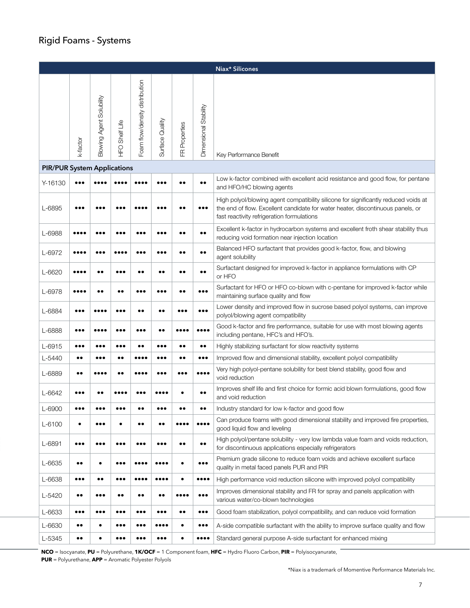### Rigid Foams - Systems

|                                    |                         |                          |                         |                                |                         |                  |                                | Niax* Silicones                                                                                                                                                                                                      |
|------------------------------------|-------------------------|--------------------------|-------------------------|--------------------------------|-------------------------|------------------|--------------------------------|----------------------------------------------------------------------------------------------------------------------------------------------------------------------------------------------------------------------|
|                                    | k-factor                | Blowing Agent Solubility | <b>HFO Shelf Life</b>   | Foam flow/density distribution | Surface Quality         | Properties<br>匠  | Dimensional Stability          | Key Performance Benefit                                                                                                                                                                                              |
| <b>PIR/PUR System Applications</b> |                         |                          |                         |                                |                         |                  |                                |                                                                                                                                                                                                                      |
| Y-16130                            |                         |                          |                         |                                |                         |                  | $\bullet\bullet$               | Low k-factor combined with excellent acid resistance and good flow, for pentane<br>and HFO/HC blowing agents                                                                                                         |
| L-6895                             | $\bullet\bullet\bullet$ |                          |                         |                                |                         |                  |                                | High polyol/blowing agent compatibility silicone for significantly reduced voids at<br>the end of flow. Excellent candidate for water heater, discontinuous panels, or<br>fast reactivity refrigeration formulations |
| L-6988                             |                         |                          |                         |                                |                         |                  | $\bullet\bullet$               | Excellent k-factor in hydrocarbon systems and excellent froth shear stability thus<br>reducing void formation near injection location                                                                                |
| L-6972                             |                         |                          |                         |                                |                         |                  | $\bullet\bullet$               | Balanced HFO surfactant that provides good k-factor, flow, and blowing<br>agent solubility                                                                                                                           |
| L-6620                             |                         | $\bullet\bullet$         |                         |                                | $\bullet\bullet$        |                  | $\bullet\bullet$               | Surfactant designed for improved k-factor in appliance formulations with CP<br>or HFO                                                                                                                                |
| L-6978                             |                         |                          |                         |                                |                         |                  |                                | Surfactant for HFO or HFO co-blown with c-pentane for improved k-factor while<br>maintaining surface quality and flow                                                                                                |
| L-6884                             |                         |                          |                         |                                |                         |                  |                                | Lower density and improved flow in sucrose based polyol systems, can improve<br>polyol/blowing agent compatibility                                                                                                   |
| L-6888                             | $\bullet\bullet\bullet$ |                          |                         |                                |                         |                  |                                | Good k-factor and fire performance, suitable for use with most blowing agents<br>including pentane, HFC's and HFO's.                                                                                                 |
| L-6915                             | $\bullet\bullet\bullet$ |                          |                         |                                |                         |                  | $\bullet\bullet$               | Highly stabilizing surfactant for slow reactivity systems                                                                                                                                                            |
| L-5440                             | $\bullet\bullet$        |                          | $\bullet$               |                                |                         |                  |                                | Improved flow and dimensional stability, excellent polyol compatibility                                                                                                                                              |
| L-6889                             | $\bullet\bullet$        |                          |                         |                                |                         |                  |                                | Very high polyol-pentane solubility for best blend stability, good flow and<br>void reduction                                                                                                                        |
| L-6642                             |                         |                          |                         |                                |                         |                  | $\bullet\bullet$               | Improves shelf life and first choice for formic acid blown formulations, good flow<br>and void reduction                                                                                                             |
| L-6900                             | $\bullet\bullet\bullet$ |                          |                         |                                |                         |                  | $\bullet\bullet$               | Industry standard for low k-factor and good flow                                                                                                                                                                     |
| L-6100                             | $\bullet$               | $\bullet\bullet\bullet$  | ٠                       | $\bullet\bullet$               | $\bullet\bullet$        |                  |                                | Can produce foams with good dimensional stability and improved fire properties,<br>good liquid flow and leveling                                                                                                     |
| L-6891                             | $\bullet\bullet\bullet$ | $\bullet\bullet\bullet$  | $\bullet\bullet\bullet$ | $\bullet\bullet\bullet$        | $\bullet\bullet\bullet$ | $\bullet\bullet$ | $\bullet\bullet$               | High polyol/pentane solubility - very low lambda value foam and voids reduction,<br>for discontinuous applications especially refrigerators                                                                          |
| L-6635                             | $\bullet\bullet$        | $\bullet$                |                         |                                |                         | ٠                | $\bullet\bullet\bullet$        | Premium grade silicone to reduce foam voids and achieve excellent surface<br>quality in metal faced panels PUR and PIR                                                                                               |
| L-6638                             | $\bullet\bullet\bullet$ | $\bullet\,\bullet$       | $\bullet\bullet\bullet$ |                                |                         | $\bullet$        | $\bullet\bullet\bullet\bullet$ | High performance void reduction silicone with improved polyol compatibility                                                                                                                                          |
| L-5420                             | $\bullet\bullet$        | $\bullet\bullet\bullet$  | $\bullet\bullet$        | $\bullet\bullet$               | $\bullet\bullet$        |                  | $\bullet\bullet\bullet$        | Improves dimensional stability and FR for spray and panels application with<br>various water/co-blown technologies                                                                                                   |
| L-6633                             | $\bullet\bullet\bullet$ | $\bullet\bullet\bullet$  | $\bullet\bullet\bullet$ | $\bullet\bullet\bullet$        |                         | $\bullet\bullet$ | $\bullet\bullet\bullet$        | Good foam stabilization, polyol compatibility, and can reduce void formation                                                                                                                                         |
| L-6630                             | $\bullet\bullet$        | $\bullet$                |                         |                                |                         | ٠                | $\bullet\bullet\bullet$        | A-side compatible surfactant with the ability to improve surface quality and flow                                                                                                                                    |
| L-5345                             | $\bullet\bullet$        | $\bullet$                | $\bullet\bullet\bullet$ |                                |                         |                  |                                | Standard general purpose A-side surfactant for enhanced mixing                                                                                                                                                       |

**NCO** = Isocyanate, **PU** = Polyurethane, **1K/OCF** = 1 Component foam, **HFC** = Hydro Fluoro Carbon, **PIR** = Polyisocyanurate,

**PUR** = Polyurethane, **APP** = Aromatic Polyester Polyols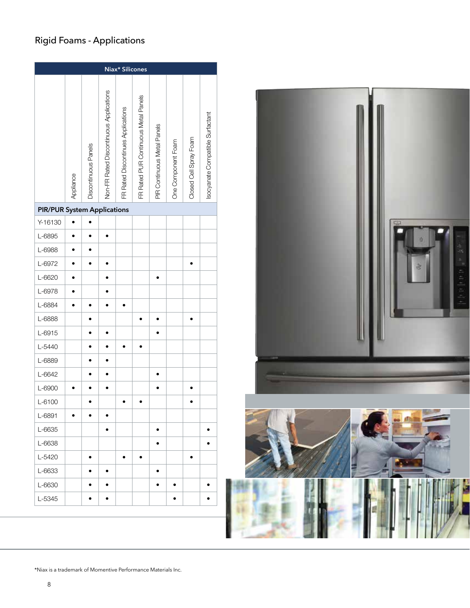### Rigid Foams - Applications

|                                    |           |                      |                                         | Niax* Silicones                    |                                      |                             |                    |                        |                                  |  |  |  |  |  |
|------------------------------------|-----------|----------------------|-----------------------------------------|------------------------------------|--------------------------------------|-----------------------------|--------------------|------------------------|----------------------------------|--|--|--|--|--|
|                                    | Appliance | Discontinuous Panels | Non-FR Rated Discontinuous Applications | FR Rated Discontinues Applications | FR Rated PUR Continuous Metal Panels | PIR Continuous Metal Panels | One Component Foam | Closed Cell Spray Foam | Isocyanate Compatible Surfactant |  |  |  |  |  |
| <b>PIR/PUR System Applications</b> |           |                      |                                         |                                    |                                      |                             |                    |                        |                                  |  |  |  |  |  |
| Y-16130                            |           |                      |                                         |                                    |                                      |                             |                    |                        |                                  |  |  |  |  |  |
| L-6895                             |           |                      |                                         |                                    |                                      |                             |                    |                        |                                  |  |  |  |  |  |
| L-6988                             |           |                      |                                         |                                    |                                      |                             |                    |                        |                                  |  |  |  |  |  |
| L-6972                             |           |                      |                                         |                                    |                                      |                             |                    |                        |                                  |  |  |  |  |  |
| L-6620                             |           |                      |                                         |                                    |                                      |                             |                    |                        |                                  |  |  |  |  |  |
| L-6978                             |           |                      |                                         |                                    |                                      |                             |                    |                        |                                  |  |  |  |  |  |
| L-6884                             |           |                      |                                         |                                    |                                      |                             |                    |                        |                                  |  |  |  |  |  |
| L-6888                             |           |                      |                                         |                                    |                                      |                             |                    |                        |                                  |  |  |  |  |  |
| L-6915                             |           |                      |                                         |                                    |                                      |                             |                    |                        |                                  |  |  |  |  |  |
| L-5440                             |           |                      |                                         |                                    |                                      |                             |                    |                        |                                  |  |  |  |  |  |
| L-6889                             |           |                      |                                         |                                    |                                      |                             |                    |                        |                                  |  |  |  |  |  |
| L-6642                             |           |                      |                                         |                                    |                                      |                             |                    |                        |                                  |  |  |  |  |  |
| L-6900                             |           |                      |                                         |                                    |                                      |                             |                    |                        |                                  |  |  |  |  |  |
| L-6100                             |           |                      |                                         |                                    |                                      |                             |                    |                        |                                  |  |  |  |  |  |
| L-6891                             |           |                      |                                         |                                    |                                      |                             |                    |                        |                                  |  |  |  |  |  |
| L-6635                             |           |                      |                                         |                                    |                                      |                             |                    |                        |                                  |  |  |  |  |  |
| L-6638                             |           |                      |                                         |                                    |                                      |                             |                    |                        |                                  |  |  |  |  |  |
| L-5420                             |           |                      |                                         |                                    |                                      |                             |                    |                        |                                  |  |  |  |  |  |
| L-6633                             |           |                      |                                         |                                    |                                      |                             |                    |                        |                                  |  |  |  |  |  |
| L-6630                             |           |                      |                                         |                                    |                                      |                             |                    |                        |                                  |  |  |  |  |  |
| L-5345                             |           |                      |                                         |                                    |                                      |                             |                    |                        |                                  |  |  |  |  |  |
|                                    |           |                      |                                         |                                    |                                      |                             |                    |                        |                                  |  |  |  |  |  |

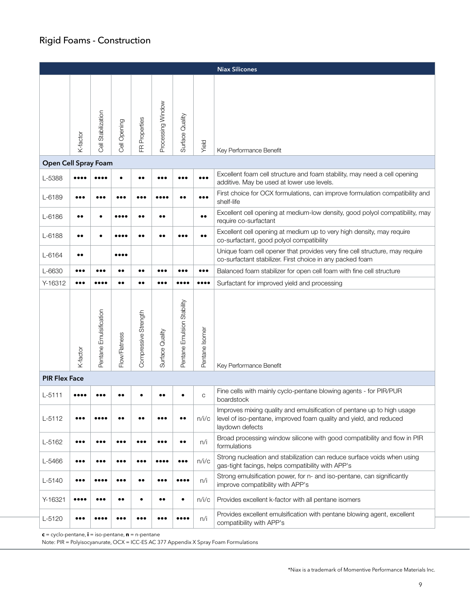### Rigid Foams - Construction

|                      |                         |                        |                  |                                       |                   |                            |                         | <b>Niax Silicones</b>                                                                                                                                           |
|----------------------|-------------------------|------------------------|------------------|---------------------------------------|-------------------|----------------------------|-------------------------|-----------------------------------------------------------------------------------------------------------------------------------------------------------------|
|                      | K-factor                | Cell Stabilization     | Cell Opening     | Properties<br>$\overline{\mathbb{E}}$ | Processing Window | Surface Quality            | Yield                   | Key Performance Benefit                                                                                                                                         |
| Open Cell Spray Foam |                         |                        |                  |                                       |                   |                            |                         |                                                                                                                                                                 |
| L-5388               |                         |                        |                  | $\bullet\bullet$                      |                   |                            |                         | Excellent foam cell structure and foam stability, may need a cell opening<br>additive. May be used at lower use levels.                                         |
| L-6189               |                         |                        |                  |                                       |                   |                            | $\bullet\bullet\bullet$ | First choice for OCX formulations, can improve formulation compatibility and<br>shelf-life                                                                      |
| L-6186               | $\bullet\bullet$        |                        |                  |                                       | $\bullet$         |                            | $\bullet\bullet$        | Excellent cell opening at medium-low density, good polyol compatibility, may<br>require co-surfactant                                                           |
| L-6188               | $\bullet\bullet$        |                        |                  |                                       | $\bullet$         |                            | $\bullet\bullet$        | Excellent cell opening at medium up to very high density, may require<br>co-surfactant, good polyol compatibility                                               |
| L-6164               | $\bullet\bullet$        |                        |                  |                                       |                   |                            |                         | Unique foam cell opener that provides very fine cell structure, may require<br>co-surfactant stabilizer. First choice in any packed foam                        |
| L-6630               |                         |                        |                  | $\bullet$                             |                   |                            | $\bullet\bullet\bullet$ | Balanced foam stabilizer for open cell foam with fine cell structure                                                                                            |
| Y-16312              | $\bullet\bullet\bullet$ |                        | $\bullet\bullet$ | $\bullet\bullet$                      |                   |                            |                         | Surfactant for improved yield and processing                                                                                                                    |
|                      | K-factor                | Pentane Emulsification | Flow/Flatness    | Compressive Strength                  | Surface Quality   | Pentane Emulsion Stability | Pentane Isomer          | Key Performance Benefit                                                                                                                                         |
| <b>PIR Flex Face</b> |                         |                        |                  |                                       |                   |                            |                         |                                                                                                                                                                 |
| $L - 5111$           |                         |                        |                  |                                       |                   |                            | C                       | Fine cells with mainly cyclo-pentane blowing agents - for PIR/PUR<br>boardstock                                                                                 |
| $L - 5112$           |                         |                        |                  |                                       |                   |                            | n/i/c                   | Improves mixing quality and emulsification of pentane up to high usage<br>level of iso-pentane, improved foam quality and yield, and reduced<br>laydown defects |
| L-5162               | $\bullet\bullet\bullet$ |                        |                  | $\bullet\bullet\bullet$               |                   | $\bullet\,\bullet$         | n/i                     | Broad processing window silicone with good compatibility and flow in PIR<br>formulations                                                                        |
| L-5466               | $\bullet\bullet\bullet$ |                        |                  |                                       |                   | $\bullet\bullet\bullet$    | n/i/c                   | Strong nucleation and stabilization can reduce surface voids when using<br>gas-tight facings, helps compatibility with APP's                                    |
| L-5140               |                         |                        |                  | $\bullet\bullet$                      |                   |                            | n/i                     | Strong emulsification power, for n- and iso-pentane, can significantly<br>improve compatibility with APP's                                                      |
| Y-16321              |                         |                        | $\bullet\bullet$ | $\bullet$                             | $\bullet\bullet$  |                            | n/i/c                   | Provides excellent k-factor with all pentane isomers                                                                                                            |
| L-5120               |                         |                        |                  |                                       |                   |                            | n/i                     | Provides excellent emulsification with pentane blowing agent, excellent<br>compatibility with APP's                                                             |

**c** = cyclo-pentane, **i** = iso-pentane, **n** = n-pentane

Note: PIR = Polyisocyanurate, OCX = ICC-ES AC 377 Appendix X Spray Foam Formulations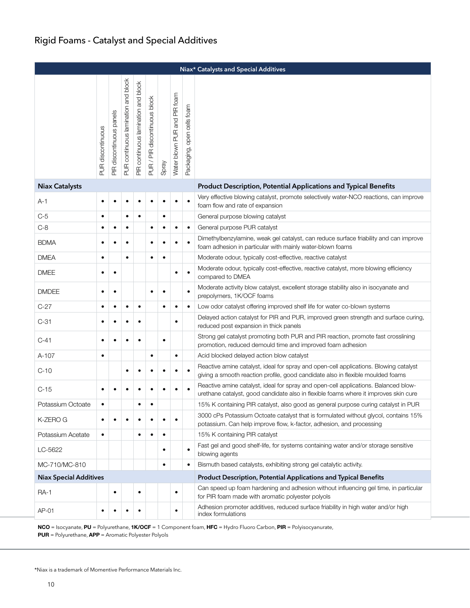|                               | Niax* Catalysts and Special Additives |                          |                                     |                                     |                               |           |                              |                            |                                                                                                                                                                             |  |  |  |  |  |
|-------------------------------|---------------------------------------|--------------------------|-------------------------------------|-------------------------------------|-------------------------------|-----------|------------------------------|----------------------------|-----------------------------------------------------------------------------------------------------------------------------------------------------------------------------|--|--|--|--|--|
|                               | <b>PUR discontinuous</b>              | PIR discontinuous panels | PUR continuous lamination and block | PIR continuous lamination and block | PUR / PIR discontinuous block | Spray     | Water blown PUR and PIR foam | Packaging, open cells foam |                                                                                                                                                                             |  |  |  |  |  |
| <b>Niax Catalysts</b>         |                                       |                          |                                     |                                     |                               |           |                              |                            | <b>Product Description, Potential Applications and Typical Benefits</b>                                                                                                     |  |  |  |  |  |
| A-1                           |                                       |                          |                                     |                                     |                               |           |                              |                            | Very effective blowing catalyst, promote selectively water-NCO reactions, can improve<br>foam flow and rate of expansion                                                    |  |  |  |  |  |
| $C-5$                         | $\bullet$                             |                          | $\bullet$                           | $\bullet$                           |                               | $\bullet$ |                              |                            | General purpose blowing catalyst                                                                                                                                            |  |  |  |  |  |
| $C-8$                         | ٠                                     | $\bullet$                | $\bullet$                           |                                     |                               | $\bullet$ | $\bullet$                    | $\bullet$                  | General purpose PUR catalyst                                                                                                                                                |  |  |  |  |  |
| <b>BDMA</b>                   |                                       | $\bullet$                | $\bullet$                           |                                     |                               | $\bullet$ | $\bullet$                    |                            | Dimethylbenzylamine, weak gel catalyst, can reduce surface friability and can improve<br>foam adhesion in particular with mainly water-blown foams                          |  |  |  |  |  |
| <b>DMEA</b>                   | ٠                                     |                          | $\bullet$                           |                                     | $\bullet$                     | $\bullet$ |                              |                            | Moderate odour, typically cost-effective, reactive catalyst                                                                                                                 |  |  |  |  |  |
| <b>DMEE</b>                   | ٠                                     | $\bullet$                |                                     |                                     |                               |           | $\bullet$                    | $\bullet$                  | Moderate odour, typically cost-effective, reactive catalyst, more blowing efficiency<br>compared to DMEA                                                                    |  |  |  |  |  |
| <b>DMDEE</b>                  | $\bullet$                             | $\bullet$                |                                     |                                     |                               | ٠         |                              |                            | Moderate activity blow catalyst, excellent storage stability also in isocyanate and<br>prepolymers, 1K/OCF foams                                                            |  |  |  |  |  |
| $C-27$                        | ٠                                     | $\bullet$                | $\bullet$                           | $\bullet$                           |                               | $\bullet$ | $\bullet$                    | $\bullet$                  | Low odor catalyst offering improved shelf life for water co-blown systems                                                                                                   |  |  |  |  |  |
| $C-31$                        | ٠                                     | $\bullet$                | ٠                                   |                                     |                               |           | $\bullet$                    |                            | Delayed action catalyst for PIR and PUR, improved green strength and surface curing,<br>reduced post expansion in thick panels                                              |  |  |  |  |  |
| $C-41$                        |                                       | $\bullet$                | $\bullet$                           | ٠                                   |                               | $\bullet$ |                              |                            | Strong gel catalyst promoting both PUR and PIR reaction, promote fast crosslining<br>promotion, reduced demould time and improved foam adhesion                             |  |  |  |  |  |
| A-107                         | $\bullet$                             |                          |                                     |                                     | $\bullet$                     |           | $\bullet$                    |                            | Acid blocked delayed action blow catalyst                                                                                                                                   |  |  |  |  |  |
| $C-10$                        |                                       |                          |                                     |                                     |                               | ٠         |                              |                            | Reactive amine catalyst, ideal for spray and open-cell applications. Blowing catalyst<br>giving a smooth reaction profile, good candidate also in flexible moulded foams    |  |  |  |  |  |
| $C-15$                        |                                       |                          |                                     |                                     |                               |           |                              |                            | Reactive amine catalyst, ideal for spray and open-cell applications. Balanced blow-<br>urethane catalyst, good candidate also in flexible foams where it improves skin cure |  |  |  |  |  |
| Potassium Octoate             |                                       |                          |                                     | ٠                                   | ٠                             |           |                              |                            | 15% K containing PIR catalyst, also good as general purpose curing catalyst in PUR                                                                                          |  |  |  |  |  |
| K-ZERO G                      |                                       | $\bullet$                | $\bullet$                           |                                     | $\bullet$                     | ٠         | $\bullet$                    |                            | 3000 cPs Potassium Octoate catalyst that is formulated without glycol, contains 15%<br>potassium. Can help improve flow, k-factor, adhesion, and processing                 |  |  |  |  |  |
| Potassium Acetate             | ٠                                     |                          |                                     |                                     |                               | $\bullet$ |                              |                            | 15% K containing PIR catalyst                                                                                                                                               |  |  |  |  |  |
| LC-5622                       |                                       |                          |                                     |                                     |                               | ٠         |                              | $\bullet$                  | Fast gel and good shelf-life, for systems containing water and/or storage sensitive<br>blowing agents                                                                       |  |  |  |  |  |
| MC-710/MC-810                 |                                       |                          |                                     |                                     |                               | ٠         |                              | ٠                          | Bismuth based catalysts, exhibiting strong gel catalytic activity.                                                                                                          |  |  |  |  |  |
| <b>Niax Special Additives</b> |                                       |                          |                                     |                                     |                               |           |                              |                            | <b>Product Description, Potential Applications and Typical Benefits</b>                                                                                                     |  |  |  |  |  |
| <b>RA-1</b>                   |                                       | $\bullet$                |                                     | $\bullet$                           |                               |           | $\bullet$                    |                            | Can speed up foam hardening and adhesion without influencing gel time, in particular<br>for PIR foam made with aromatic polyester polyols                                   |  |  |  |  |  |
| AP-01                         | ٠                                     |                          |                                     |                                     |                               |           |                              |                            | Adhesion promoter additives, reduced surface friability in high water and/or high<br>index formulations                                                                     |  |  |  |  |  |

NCO = Isocyanate, PU = Polyurethane, 1K/OCF = 1 Component foam, HFC = Hydro Fluoro Carbon, PIR = Polyisocyanurate, PUR = Polyurethane, APP = Aromatic Polyester Polyols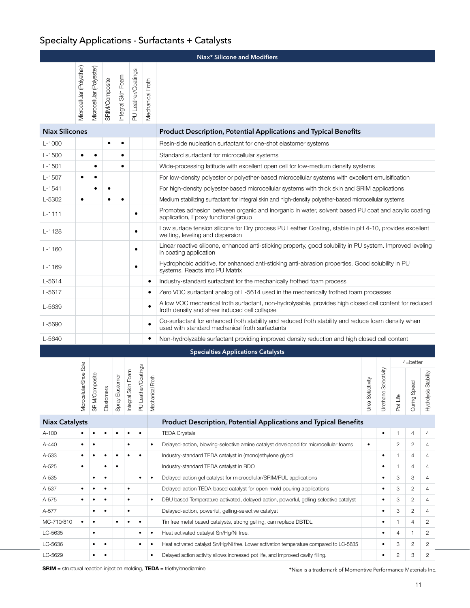### Specialty Applications - Surfactants + Catalysts

|                       |                           |                           |                       |                    |                       |                     |                              | Niax* Silicone and Modifiers                                                                                                                            |                  |                                                    |                |                 |                          |  |  |  |  |
|-----------------------|---------------------------|---------------------------|-----------------------|--------------------|-----------------------|---------------------|------------------------------|---------------------------------------------------------------------------------------------------------------------------------------------------------|------------------|----------------------------------------------------|----------------|-----------------|--------------------------|--|--|--|--|
|                       | Microcellular (Polyether) | Microcellular (Polyester) | <b>SRIM/Composite</b> | Integral Skin Foam |                       | PU Leather/Coatings | Mechanical Froth             |                                                                                                                                                         |                  |                                                    |                |                 |                          |  |  |  |  |
| <b>Niax Silicones</b> |                           |                           |                       |                    |                       |                     |                              | Product Description, Potential Applications and Typical Benefits                                                                                        |                  |                                                    |                |                 |                          |  |  |  |  |
| $L-1000$              |                           |                           | ٠                     | ٠                  |                       |                     |                              | Resin-side nucleation surfactant for one-shot elastomer systems                                                                                         |                  |                                                    |                |                 |                          |  |  |  |  |
| $L-1500$              | $\bullet$                 | ٠                         |                       | ٠                  |                       |                     |                              | Standard surfactant for microcellular systems                                                                                                           |                  |                                                    |                |                 |                          |  |  |  |  |
| $L-1501$              |                           | $\bullet$                 |                       |                    |                       |                     |                              | Wide-processing latitude with excellent open cell for low-medium density systems                                                                        |                  |                                                    |                |                 |                          |  |  |  |  |
| $L-1507$              | $\bullet$                 | $\bullet$                 |                       |                    |                       |                     |                              | For low-density polyester or polyether-based microcellular systems with excellent emulsification                                                        |                  |                                                    |                |                 |                          |  |  |  |  |
| $L-1541$              |                           | $\bullet$                 | $\bullet$             |                    |                       |                     |                              | For high-density polyester-based microcellular systems with thick skin and SRIM applications                                                            |                  |                                                    |                |                 |                          |  |  |  |  |
| L-5302                | $\bullet$                 |                           | ٠                     | ٠                  |                       |                     |                              | Medium stabilizing surfactant for integral skin and high-density polyether-based microcellular systems                                                  |                  |                                                    |                |                 |                          |  |  |  |  |
| $L - 11111$           |                           |                           |                       |                    |                       | ٠                   |                              | Promotes adhesion between organic and inorganic in water, solvent based PU coat and acrylic coating<br>application, Epoxy functional group              |                  |                                                    |                |                 |                          |  |  |  |  |
| $L-1128$              |                           |                           |                       |                    |                       | $\bullet$           |                              | Low surface tension silicone for Dry process PU Leather Coating, stable in pH 4-10, provides excellent<br>wetting, leveling and dispersion              |                  |                                                    |                |                 |                          |  |  |  |  |
| $L-1160$              |                           |                           |                       |                    |                       | $\bullet$           |                              | Linear reactive silicone, enhanced anti-sticking property, good solubility in PU system. Improved leveling<br>in coating application                    |                  |                                                    |                |                 |                          |  |  |  |  |
| L-1169                |                           |                           |                       |                    |                       | ٠                   |                              | Hydrophobic additive, for enhanced anti-sticking anti-abrasion properties. Good solubility in PU<br>systems. Reacts into PU Matrix                      |                  |                                                    |                |                 |                          |  |  |  |  |
| L-5614                |                           |                           |                       |                    |                       |                     | $\bullet$                    | Industry-standard surfactant for the mechanically frothed foam process                                                                                  |                  |                                                    |                |                 |                          |  |  |  |  |
| L-5617                |                           |                           |                       |                    |                       |                     | $\bullet$                    | Zero VOC surfactant analog of L-5614 used in the mechanically frothed foam processes                                                                    |                  |                                                    |                |                 |                          |  |  |  |  |
| L-5639                |                           |                           |                       |                    |                       |                     |                              | A low VOC mechanical froth surfactant, non-hydrolysable, provides high closed cell content for reduced<br>froth density and shear induced cell collapse |                  |                                                    |                |                 |                          |  |  |  |  |
| L-5690                |                           |                           |                       |                    |                       |                     | $\bullet$                    | Co-surfactant for enhanced froth stability and reduced froth stability and reduce foam density when<br>used with standard mechanical froth surfactants  |                  |                                                    |                |                 |                          |  |  |  |  |
| L-5640                |                           |                           |                       |                    |                       |                     | $\bullet$                    | Non-hydrolyzable surfactant providing improved density reduction and high closed cell content                                                           |                  |                                                    |                |                 |                          |  |  |  |  |
|                       |                           |                           |                       |                    |                       |                     |                              | <b>Specialties Applications Catalysts</b>                                                                                                               |                  |                                                    |                |                 |                          |  |  |  |  |
|                       |                           |                           |                       |                    |                       |                     |                              |                                                                                                                                                         |                  |                                                    |                | $4 =$ better    |                          |  |  |  |  |
|                       | Microcellular/Shoe Sole   | SRIM/Composite            | Elastomers            | Spray Elastomer    | Skin Foam<br>Integral | PU Leather/Coatings | <b>lical Froth</b><br>Mechan |                                                                                                                                                         | Urea Selectivity | Selectivity<br>$\underline{\mathsf{p}}$<br>Urethar | Pot Life       | Speed<br>Curing | sis Stability<br>Hydroly |  |  |  |  |
| <b>Niax Catalysts</b> |                           |                           |                       |                    |                       |                     |                              | Product Description, Potential Applications and Typical Benefits                                                                                        |                  |                                                    |                |                 |                          |  |  |  |  |
| A-100                 |                           | $\bullet$                 | ٠                     |                    | ٠                     | $\bullet$           |                              | <b>TEDA Crystals</b>                                                                                                                                    |                  | $\bullet$                                          | $\mathbf{1}$   | 4               | 4                        |  |  |  |  |
| A-440                 | ٠                         | $\bullet$                 |                       |                    | $\bullet$             |                     | $\bullet$                    | Delayed-action, blowing-selective amine catalyst developed for microcellular foams                                                                      | $\bullet$        |                                                    | $\overline{2}$ | $\mathbf{2}$    | 4                        |  |  |  |  |
| A-533                 | ٠                         | $\bullet$                 | $\bullet$             | $\bullet$          | $\bullet$             | $\bullet$           |                              | Industry-standard TEDA catalyst in (mono)ethylene glycol                                                                                                |                  | $\bullet$                                          | $\mathbf{1}$   | 4               | 4                        |  |  |  |  |
| A-525                 | $\bullet$                 |                           | ٠                     | $\bullet$          |                       |                     |                              | Industry-standard TEDA catalyst in BDO                                                                                                                  |                  | ٠                                                  | $\mathbf{1}$   | 4               | 4                        |  |  |  |  |
| A-535                 |                           | $\bullet$                 | ٠                     |                    |                       | $\bullet$           | $\bullet$                    | Delayed-action gel catalyst for microcellular/SRIM/PUL applications                                                                                     | ٠                | 3                                                  | 3              | 4               |                          |  |  |  |  |
| A-537                 | $\bullet$                 | $\bullet$                 | $\bullet$             |                    | $\bullet$             |                     |                              | Delayed-action TEDA-based catalyst for open-mold pouring applications                                                                                   | $\bullet$        | 3                                                  | 2              | 4               |                          |  |  |  |  |
| A-575                 | $\bullet$                 | $\bullet$                 | $\bullet$             |                    | $\bullet$             |                     | $\bullet$                    | DBU based Temperature-activated, delayed-action, powerful, gelling-selective catalyst                                                                   |                  | $\bullet$                                          | 3              | $\mathbf{2}$    | 4                        |  |  |  |  |
| A-577                 |                           | $\bullet$                 | $\bullet$             |                    | $\bullet$             |                     |                              | Delayed-action, powerful, gelling-selective catalyst                                                                                                    |                  | $\bullet$                                          | 3              | $\overline{c}$  | 4                        |  |  |  |  |
| MC-710/810            | $\bullet$                 | $\bullet$                 |                       | $\bullet$          | $\bullet$             | $\bullet$           |                              | Tin free metal based catalysts, strong gelling, can replace DBTDL                                                                                       | $\bullet$        | $\mathbf{1}$                                       | $\overline{4}$ | 2               |                          |  |  |  |  |
| LC-5635               |                           | $\bullet$                 |                       |                    |                       | $\bullet$           | $\bullet$                    | Heat activated catalyst Sn/Hg/Ni free.                                                                                                                  |                  | ٠                                                  | 4              | $\mathbf{1}$    | 2                        |  |  |  |  |
| LC-5636               |                           | ٠                         | ٠                     |                    |                       | ٠                   | $\bullet$                    | Heat activated catalyst Sn/Hg/Ni free. Lower activation temperature compared to LC-5635                                                                 |                  | $\bullet$                                          | 3              | 2               | $\mathbf{2}$             |  |  |  |  |
| LC-5629               |                           | $\bullet$                 | $\bullet$             |                    |                       |                     | $\bullet$                    | Delayed action activity allows increased pot life, and improved cavity filling.                                                                         |                  | ٠                                                  | $\overline{c}$ | 3               | $\overline{c}$           |  |  |  |  |

SRIM = structural reaction injection molding, TEDA = triethylenediamine